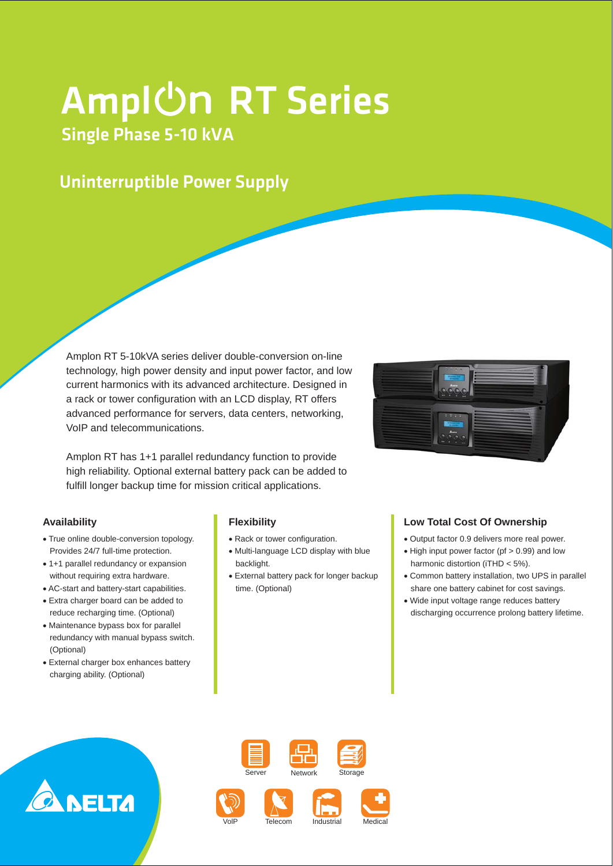# Ampl $\overline{\text{On RT Series}}$

## Single Phase 5-10 kVA

### Uninterruptible Power Supply

Amplon RT 5-10kVA series deliver double-conversion on-line technology, high power density and input power factor, and low current harmonics with its advanced architecture. Designed in a rack or tower configuration with an LCD display, RT offers advanced performance for servers, data centers, networking, VoIP and telecommunications.

Amplon RT has 1+1 parallel redundancy function to provide high reliability. Optional external battery pack can be added to fulfill longer backup time for mission critical applications.

#### **Availability**

- True online double-conversion topology. Provides 24/7 full-time protection.
- 1+1 parallel redundancy or expansion without requiring extra hardware.
- AC-start and battery-start capabilities.
- Extra charger board can be added to reduce recharging time. (Optional)
- Maintenance bypass box for parallel redundancy with manual bypass switch. (Optional)
- External charger box enhances battery charging ability. (Optional)

#### **Flexibility**

- Rack or tower configuration.
- Multi-language LCD display with blue backlight.
- External battery pack for longer backup time. (Optional)

بالترتاح



#### **Low Total Cost Of Ownership**

- Output factor 0.9 delivers more real power.
- High input power factor (pf > 0.99) and low harmonic distortion (iTHD < 5%).
- Common battery installation, two UPS in parallel share one battery cabinet for cost savings.
- Wide input voltage range reduces battery discharging occurrence prolong battery lifetime.